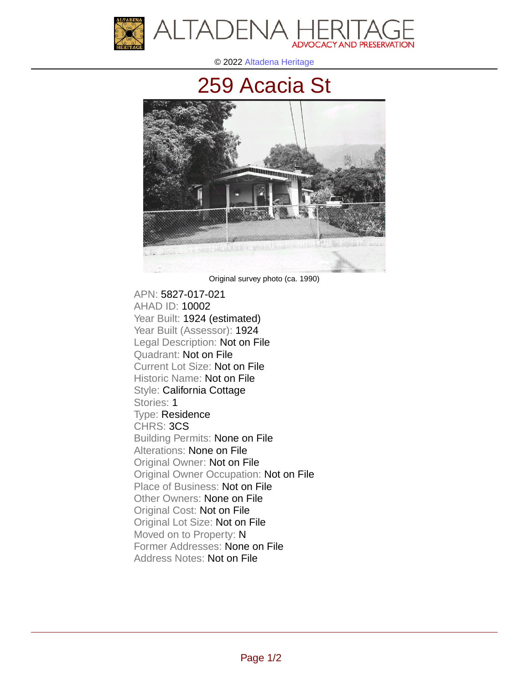

© 2022 [Altadena Heritage](http://altadenaheritage.org/)

## [259 Acacia St](ahad.altadenaheritagepdb.org/properties/10002)



Original survey photo (ca. 1990)

APN: 5827-017-021 [AHAD ID: 10002](ahad.altadenaheritagepdb.org/properties/10002) Year Built: 1924 (estimated) Year Built (Assessor): 1924 Legal Description: Not on File Quadrant: Not on File Current Lot Size: Not on File Historic Name: Not on File Style: California Cottage Stories: 1 Type: Residence CHRS: 3CS Building Permits: None on File Alterations: None on File Original Owner: Not on File Original Owner Occupation: Not on File Place of Business: Not on File Other Owners: None on File Original Cost: Not on File Original Lot Size: Not on File Moved on to Property: N Former Addresses: None on File Address Notes: Not on File